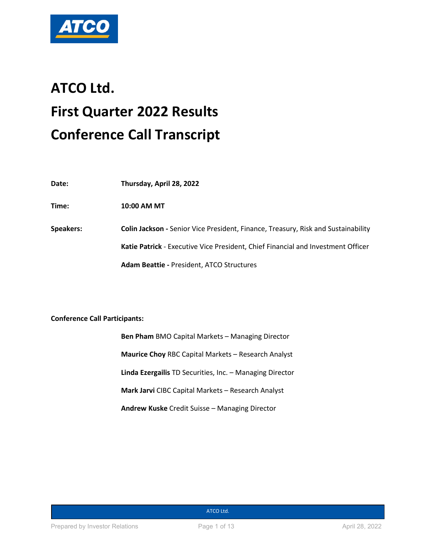

# **ATCO Ltd. First Quarter 2022 Results Conference Call Transcript**

| Date:     | Thursday, April 28, 2022                                                          |
|-----------|-----------------------------------------------------------------------------------|
| Time:     | 10:00 AM MT                                                                       |
| Speakers: | Colin Jackson - Senior Vice President, Finance, Treasury, Risk and Sustainability |
|           | Katie Patrick - Executive Vice President, Chief Financial and Investment Officer  |
|           | <b>Adam Beattie - President, ATCO Structures</b>                                  |

# **Conference Call Participants:**

**Ben Pham** BMO Capital Markets – Managing Director **Maurice Choy** RBC Capital Markets – Research Analyst **Linda Ezergailis** TD Securities, Inc. – Managing Director **Mark Jarvi** CIBC Capital Markets – Research Analyst **Andrew Kuske** Credit Suisse – Managing Director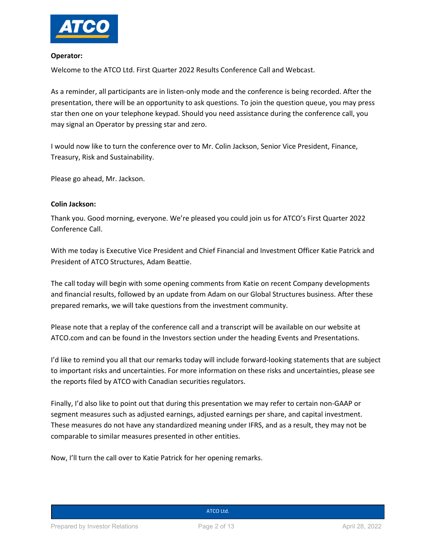

#### **Operator:**

Welcome to the ATCO Ltd. First Quarter 2022 Results Conference Call and Webcast.

As a reminder, all participants are in listen-only mode and the conference is being recorded. After the presentation, there will be an opportunity to ask questions. To join the question queue, you may press star then one on your telephone keypad. Should you need assistance during the conference call, you may signal an Operator by pressing star and zero.

I would now like to turn the conference over to Mr. Colin Jackson, Senior Vice President, Finance, Treasury, Risk and Sustainability.

Please go ahead, Mr. Jackson.

# **Colin Jackson:**

Thank you. Good morning, everyone. We're pleased you could join us for ATCO's First Quarter 2022 Conference Call.

With me today is Executive Vice President and Chief Financial and Investment Officer Katie Patrick and President of ATCO Structures, Adam Beattie.

The call today will begin with some opening comments from Katie on recent Company developments and financial results, followed by an update from Adam on our Global Structures business. After these prepared remarks, we will take questions from the investment community.

Please note that a replay of the conference call and a transcript will be available on our website at ATCO.com and can be found in the Investors section under the heading Events and Presentations.

I'd like to remind you all that our remarks today will include forward-looking statements that are subject to important risks and uncertainties. For more information on these risks and uncertainties, please see the reports filed by ATCO with Canadian securities regulators.

Finally, I'd also like to point out that during this presentation we may refer to certain non-GAAP or segment measures such as adjusted earnings, adjusted earnings per share, and capital investment. These measures do not have any standardized meaning under IFRS, and as a result, they may not be comparable to similar measures presented in other entities.

Now, I'll turn the call over to Katie Patrick for her opening remarks.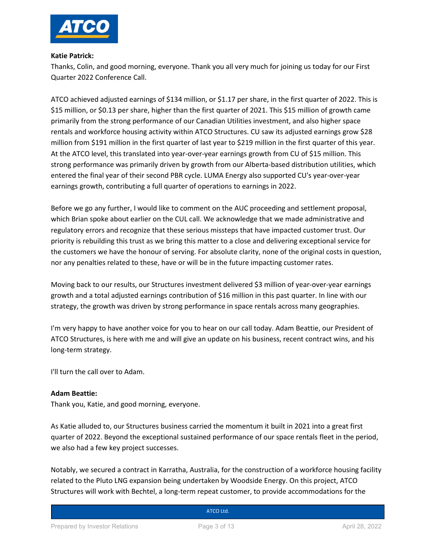

#### **Katie Patrick:**

Thanks, Colin, and good morning, everyone. Thank you all very much for joining us today for our First Quarter 2022 Conference Call.

ATCO achieved adjusted earnings of \$134 million, or \$1.17 per share, in the first quarter of 2022. This is \$15 million, or \$0.13 per share, higher than the first quarter of 2021. This \$15 million of growth came primarily from the strong performance of our Canadian Utilities investment, and also higher space rentals and workforce housing activity within ATCO Structures. CU saw its adjusted earnings grow \$28 million from \$191 million in the first quarter of last year to \$219 million in the first quarter of this year. At the ATCO level, this translated into year-over-year earnings growth from CU of \$15 million. This strong performance was primarily driven by growth from our Alberta-based distribution utilities, which entered the final year of their second PBR cycle. LUMA Energy also supported CU's year-over-year earnings growth, contributing a full quarter of operations to earnings in 2022.

Before we go any further, I would like to comment on the AUC proceeding and settlement proposal, which Brian spoke about earlier on the CUL call. We acknowledge that we made administrative and regulatory errors and recognize that these serious missteps that have impacted customer trust. Our priority is rebuilding this trust as we bring this matter to a close and delivering exceptional service for the customers we have the honour of serving. For absolute clarity, none of the original costs in question, nor any penalties related to these, have or will be in the future impacting customer rates.

Moving back to our results, our Structures investment delivered \$3 million of year-over-year earnings growth and a total adjusted earnings contribution of \$16 million in this past quarter. In line with our strategy, the growth was driven by strong performance in space rentals across many geographies.

I'm very happy to have another voice for you to hear on our call today. Adam Beattie, our President of ATCO Structures, is here with me and will give an update on his business, recent contract wins, and his long-term strategy.

I'll turn the call over to Adam.

# **Adam Beattie:**

Thank you, Katie, and good morning, everyone.

As Katie alluded to, our Structures business carried the momentum it built in 2021 into a great first quarter of 2022. Beyond the exceptional sustained performance of our space rentals fleet in the period, we also had a few key project successes.

Notably, we secured a contract in Karratha, Australia, for the construction of a workforce housing facility related to the Pluto LNG expansion being undertaken by Woodside Energy. On this project, ATCO Structures will work with Bechtel, a long-term repeat customer, to provide accommodations for the

# **Canadian Utilities Limited Street**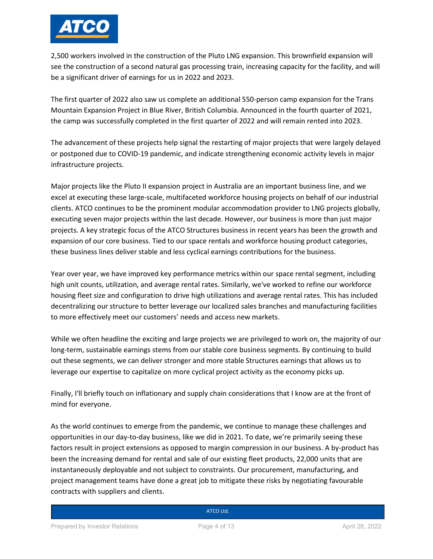

2,500 workers involved in the construction of the Pluto LNG expansion. This brownfield expansion will see the construction of a second natural gas processing train, increasing capacity for the facility, and will be a significant driver of earnings for us in 2022 and 2023.

The first quarter of 2022 also saw us complete an additional 550-person camp expansion for the Trans Mountain Expansion Project in Blue River, British Columbia. Announced in the fourth quarter of 2021, the camp was successfully completed in the first quarter of 2022 and will remain rented into 2023.

The advancement of these projects help signal the restarting of major projects that were largely delayed or postponed due to COVID-19 pandemic, and indicate strengthening economic activity levels in major infrastructure projects.

Major projects like the Pluto II expansion project in Australia are an important business line, and we excel at executing these large-scale, multifaceted workforce housing projects on behalf of our industrial clients. ATCO continues to be the prominent modular accommodation provider to LNG projects globally, executing seven major projects within the last decade. However, our business is more than just major projects. A key strategic focus of the ATCO Structures business in recent years has been the growth and expansion of our core business. Tied to our space rentals and workforce housing product categories, these business lines deliver stable and less cyclical earnings contributions for the business.

Year over year, we have improved key performance metrics within our space rental segment, including high unit counts, utilization, and average rental rates. Similarly, we've worked to refine our workforce housing fleet size and configuration to drive high utilizations and average rental rates. This has included decentralizing our structure to better leverage our localized sales branches and manufacturing facilities to more effectively meet our customers' needs and access new markets.

While we often headline the exciting and large projects we are privileged to work on, the majority of our long-term, sustainable earnings stems from our stable core business segments. By continuing to build out these segments, we can deliver stronger and more stable Structures earnings that allows us to leverage our expertise to capitalize on more cyclical project activity as the economy picks up.

Finally, I'll briefly touch on inflationary and supply chain considerations that I know are at the front of mind for everyone.

As the world continues to emerge from the pandemic, we continue to manage these challenges and opportunities in our day-to-day business, like we did in 2021. To date, we're primarily seeing these factors result in project extensions as opposed to margin compression in our business. A by-product has been the increasing demand for rental and sale of our existing fleet products, 22,000 units that are instantaneously deployable and not subject to constraints. Our procurement, manufacturing, and project management teams have done a great job to mitigate these risks by negotiating favourable contracts with suppliers and clients.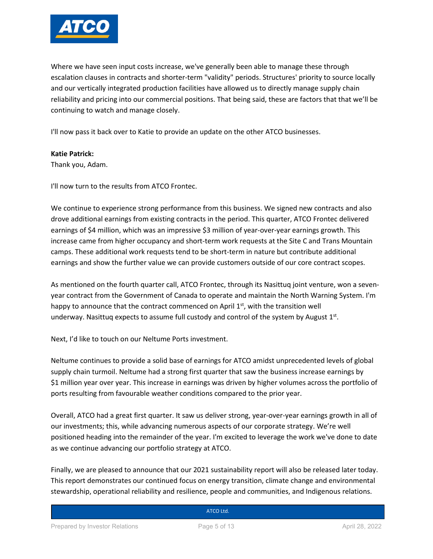

Where we have seen input costs increase, we've generally been able to manage these through escalation clauses in contracts and shorter-term "validity" periods. Structures' priority to source locally and our vertically integrated production facilities have allowed us to directly manage supply chain reliability and pricing into our commercial positions. That being said, these are factors that that we'll be continuing to watch and manage closely.

I'll now pass it back over to Katie to provide an update on the other ATCO businesses.

#### **Katie Patrick:**

Thank you, Adam.

I'll now turn to the results from ATCO Frontec.

We continue to experience strong performance from this business. We signed new contracts and also drove additional earnings from existing contracts in the period. This quarter, ATCO Frontec delivered earnings of \$4 million, which was an impressive \$3 million of year-over-year earnings growth. This increase came from higher occupancy and short-term work requests at the Site C and Trans Mountain camps. These additional work requests tend to be short-term in nature but contribute additional earnings and show the further value we can provide customers outside of our core contract scopes.

As mentioned on the fourth quarter call, ATCO Frontec, through its Nasittuq joint venture, won a sevenyear contract from the Government of Canada to operate and maintain the North Warning System. I'm happy to announce that the contract commenced on April  $1<sup>st</sup>$ , with the transition well underway. Nasittuq expects to assume full custody and control of the system by August  $1<sup>st</sup>$ .

Next, I'd like to touch on our Neltume Ports investment.

Neltume continues to provide a solid base of earnings for ATCO amidst unprecedented levels of global supply chain turmoil. Neltume had a strong first quarter that saw the business increase earnings by \$1 million year over year. This increase in earnings was driven by higher volumes across the portfolio of ports resulting from favourable weather conditions compared to the prior year.

Overall, ATCO had a great first quarter. It saw us deliver strong, year-over-year earnings growth in all of our investments; this, while advancing numerous aspects of our corporate strategy. We're well positioned heading into the remainder of the year. I'm excited to leverage the work we've done to date as we continue advancing our portfolio strategy at ATCO.

Finally, we are pleased to announce that our 2021 sustainability report will also be released later today. This report demonstrates our continued focus on energy transition, climate change and environmental stewardship, operational reliability and resilience, people and communities, and Indigenous relations.

| ATCO Ltd. |
|-----------|
|           |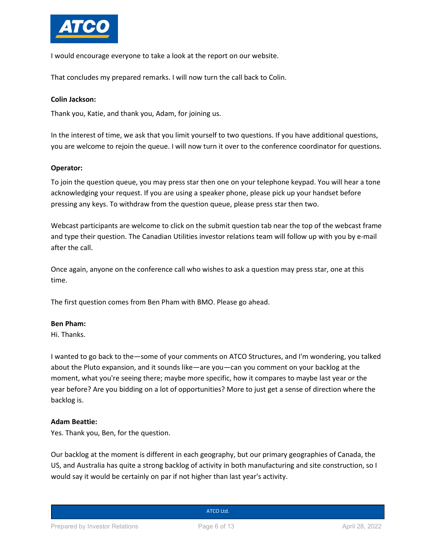

I would encourage everyone to take a look at the report on our website.

That concludes my prepared remarks. I will now turn the call back to Colin.

### **Colin Jackson:**

Thank you, Katie, and thank you, Adam, for joining us.

In the interest of time, we ask that you limit yourself to two questions. If you have additional questions, you are welcome to rejoin the queue. I will now turn it over to the conference coordinator for questions.

#### **Operator:**

To join the question queue, you may press star then one on your telephone keypad. You will hear a tone acknowledging your request. If you are using a speaker phone, please pick up your handset before pressing any keys. To withdraw from the question queue, please press star then two.

Webcast participants are welcome to click on the submit question tab near the top of the webcast frame and type their question. The Canadian Utilities investor relations team will follow up with you by e-mail after the call.

Once again, anyone on the conference call who wishes to ask a question may press star, one at this time.

The first question comes from Ben Pham with BMO. Please go ahead.

#### **Ben Pham:**

Hi. Thanks.

I wanted to go back to the—some of your comments on ATCO Structures, and I'm wondering, you talked about the Pluto expansion, and it sounds like—are you—can you comment on your backlog at the moment, what you're seeing there; maybe more specific, how it compares to maybe last year or the year before? Are you bidding on a lot of opportunities? More to just get a sense of direction where the backlog is.

#### **Adam Beattie:**

Yes. Thank you, Ben, for the question.

Our backlog at the moment is different in each geography, but our primary geographies of Canada, the US, and Australia has quite a strong backlog of activity in both manufacturing and site construction, so I would say it would be certainly on par if not higher than last year's activity.

**Canadian Utilities Limited Street**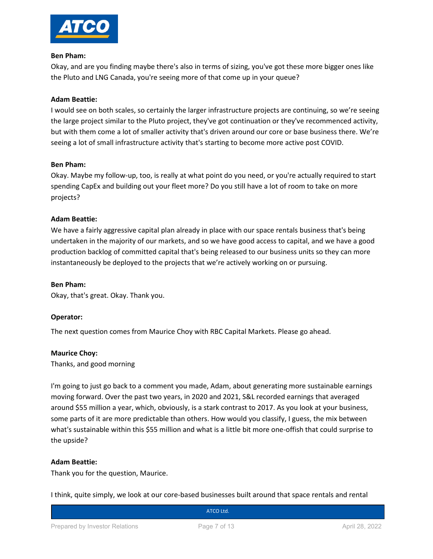

#### **Ben Pham:**

Okay, and are you finding maybe there's also in terms of sizing, you've got these more bigger ones like the Pluto and LNG Canada, you're seeing more of that come up in your queue?

# **Adam Beattie:**

I would see on both scales, so certainly the larger infrastructure projects are continuing, so we're seeing the large project similar to the Pluto project, they've got continuation or they've recommenced activity, but with them come a lot of smaller activity that's driven around our core or base business there. We're seeing a lot of small infrastructure activity that's starting to become more active post COVID.

# **Ben Pham:**

Okay. Maybe my follow-up, too, is really at what point do you need, or you're actually required to start spending CapEx and building out your fleet more? Do you still have a lot of room to take on more projects?

# **Adam Beattie:**

We have a fairly aggressive capital plan already in place with our space rentals business that's being undertaken in the majority of our markets, and so we have good access to capital, and we have a good production backlog of committed capital that's being released to our business units so they can more instantaneously be deployed to the projects that we're actively working on or pursuing.

#### **Ben Pham:**

Okay, that's great. Okay. Thank you.

# **Operator:**

The next question comes from Maurice Choy with RBC Capital Markets. Please go ahead.

#### **Maurice Choy:**

Thanks, and good morning

I'm going to just go back to a comment you made, Adam, about generating more sustainable earnings moving forward. Over the past two years, in 2020 and 2021, S&L recorded earnings that averaged around \$55 million a year, which, obviously, is a stark contrast to 2017. As you look at your business, some parts of it are more predictable than others. How would you classify, I guess, the mix between what's sustainable within this \$55 million and what is a little bit more one-offish that could surprise to the upside?

#### **Adam Beattie:**

Thank you for the question, Maurice.

I think, quite simply, we look at our core-based businesses built around that space rentals and rental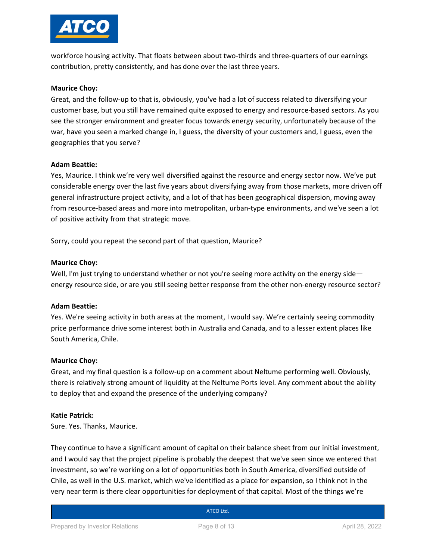

workforce housing activity. That floats between about two-thirds and three-quarters of our earnings contribution, pretty consistently, and has done over the last three years.

#### **Maurice Choy:**

Great, and the follow-up to that is, obviously, you've had a lot of success related to diversifying your customer base, but you still have remained quite exposed to energy and resource-based sectors. As you see the stronger environment and greater focus towards energy security, unfortunately because of the war, have you seen a marked change in, I guess, the diversity of your customers and, I guess, even the geographies that you serve?

#### **Adam Beattie:**

Yes, Maurice. I think we're very well diversified against the resource and energy sector now. We've put considerable energy over the last five years about diversifying away from those markets, more driven off general infrastructure project activity, and a lot of that has been geographical dispersion, moving away from resource-based areas and more into metropolitan, urban-type environments, and we've seen a lot of positive activity from that strategic move.

Sorry, could you repeat the second part of that question, Maurice?

#### **Maurice Choy:**

Well, I'm just trying to understand whether or not you're seeing more activity on the energy side energy resource side, or are you still seeing better response from the other non-energy resource sector?

#### **Adam Beattie:**

Yes. We're seeing activity in both areas at the moment, I would say. We're certainly seeing commodity price performance drive some interest both in Australia and Canada, and to a lesser extent places like South America, Chile.

#### **Maurice Choy:**

Great, and my final question is a follow-up on a comment about Neltume performing well. Obviously, there is relatively strong amount of liquidity at the Neltume Ports level. Any comment about the ability to deploy that and expand the presence of the underlying company?

#### **Katie Patrick:**

Sure. Yes. Thanks, Maurice.

They continue to have a significant amount of capital on their balance sheet from our initial investment, and I would say that the project pipeline is probably the deepest that we've seen since we entered that investment, so we're working on a lot of opportunities both in South America, diversified outside of Chile, as well in the U.S. market, which we've identified as a place for expansion, so I think not in the very near term is there clear opportunities for deployment of that capital. Most of the things we're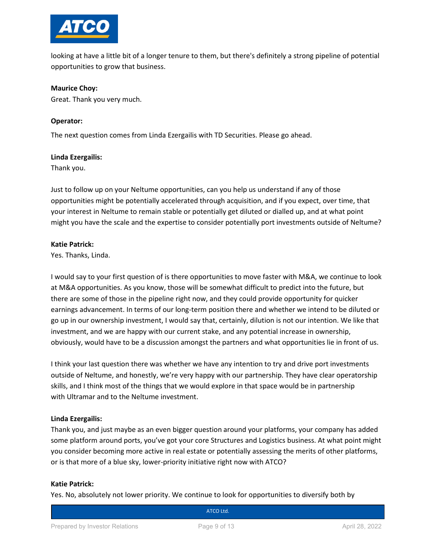

looking at have a little bit of a longer tenure to them, but there's definitely a strong pipeline of potential opportunities to grow that business.

#### **Maurice Choy:**

Great. Thank you very much.

### **Operator:**

The next question comes from Linda Ezergailis with TD Securities. Please go ahead.

#### **Linda Ezergailis:**

Thank you.

Just to follow up on your Neltume opportunities, can you help us understand if any of those opportunities might be potentially accelerated through acquisition, and if you expect, over time, that your interest in Neltume to remain stable or potentially get diluted or dialled up, and at what point might you have the scale and the expertise to consider potentially port investments outside of Neltume?

#### **Katie Patrick:**

Yes. Thanks, Linda.

I would say to your first question of is there opportunities to move faster with M&A, we continue to look at M&A opportunities. As you know, those will be somewhat difficult to predict into the future, but there are some of those in the pipeline right now, and they could provide opportunity for quicker earnings advancement. In terms of our long-term position there and whether we intend to be diluted or go up in our ownership investment, I would say that, certainly, dilution is not our intention. We like that investment, and we are happy with our current stake, and any potential increase in ownership, obviously, would have to be a discussion amongst the partners and what opportunities lie in front of us.

I think your last question there was whether we have any intention to try and drive port investments outside of Neltume, and honestly, we're very happy with our partnership. They have clear operatorship skills, and I think most of the things that we would explore in that space would be in partnership with Ultramar and to the Neltume investment.

# **Linda Ezergailis:**

Thank you, and just maybe as an even bigger question around your platforms, your company has added some platform around ports, you've got your core Structures and Logistics business. At what point might you consider becoming more active in real estate or potentially assessing the merits of other platforms, or is that more of a blue sky, lower-priority initiative right now with ATCO?

# **Katie Patrick:**

Yes. No, absolutely not lower priority. We continue to look for opportunities to diversify both by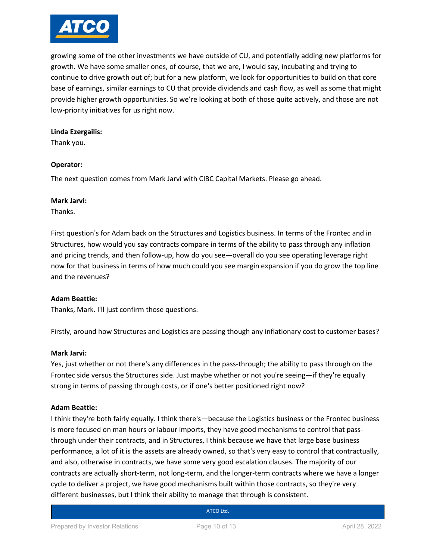

growing some of the other investments we have outside of CU, and potentially adding new platforms for growth. We have some smaller ones, of course, that we are, I would say, incubating and trying to continue to drive growth out of; but for a new platform, we look for opportunities to build on that core base of earnings, similar earnings to CU that provide dividends and cash flow, as well as some that might provide higher growth opportunities. So we're looking at both of those quite actively, and those are not low-priority initiatives for us right now.

#### **Linda Ezergailis:**

Thank you.

#### **Operator:**

The next question comes from Mark Jarvi with CIBC Capital Markets. Please go ahead.

#### **Mark Jarvi:**

Thanks.

First question's for Adam back on the Structures and Logistics business. In terms of the Frontec and in Structures, how would you say contracts compare in terms of the ability to pass through any inflation and pricing trends, and then follow-up, how do you see—overall do you see operating leverage right now for that business in terms of how much could you see margin expansion if you do grow the top line and the revenues?

# **Adam Beattie:**

Thanks, Mark. I'll just confirm those questions.

Firstly, around how Structures and Logistics are passing though any inflationary cost to customer bases?

#### **Mark Jarvi:**

Yes, just whether or not there's any differences in the pass-through; the ability to pass through on the Frontec side versus the Structures side. Just maybe whether or not you're seeing—if they're equally strong in terms of passing through costs, or if one's better positioned right now?

# **Adam Beattie:**

I think they're both fairly equally. I think there's—because the Logistics business or the Frontec business is more focused on man hours or labour imports, they have good mechanisms to control that passthrough under their contracts, and in Structures, I think because we have that large base business performance, a lot of it is the assets are already owned, so that's very easy to control that contractually, and also, otherwise in contracts, we have some very good escalation clauses. The majority of our contracts are actually short-term, not long-term, and the longer-term contracts where we have a longer cycle to deliver a project, we have good mechanisms built within those contracts, so they're very different businesses, but I think their ability to manage that through is consistent.

# **Canadian Utilities Limited Street**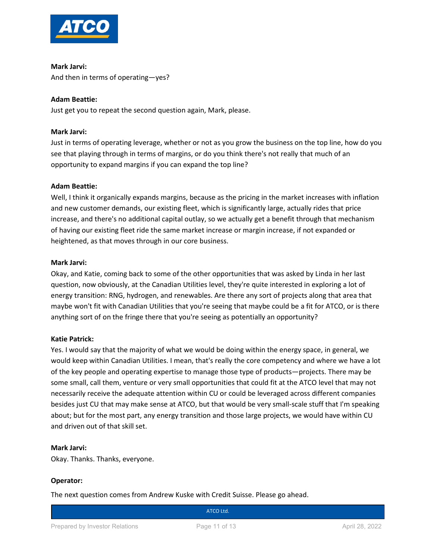

**Mark Jarvi:** And then in terms of operating—yes?

# **Adam Beattie:**

Just get you to repeat the second question again, Mark, please.

# **Mark Jarvi:**

Just in terms of operating leverage, whether or not as you grow the business on the top line, how do you see that playing through in terms of margins, or do you think there's not really that much of an opportunity to expand margins if you can expand the top line?

# **Adam Beattie:**

Well, I think it organically expands margins, because as the pricing in the market increases with inflation and new customer demands, our existing fleet, which is significantly large, actually rides that price increase, and there's no additional capital outlay, so we actually get a benefit through that mechanism of having our existing fleet ride the same market increase or margin increase, if not expanded or heightened, as that moves through in our core business.

#### **Mark Jarvi:**

Okay, and Katie, coming back to some of the other opportunities that was asked by Linda in her last question, now obviously, at the Canadian Utilities level, they're quite interested in exploring a lot of energy transition: RNG, hydrogen, and renewables. Are there any sort of projects along that area that maybe won't fit with Canadian Utilities that you're seeing that maybe could be a fit for ATCO, or is there anything sort of on the fringe there that you're seeing as potentially an opportunity?

# **Katie Patrick:**

Yes. I would say that the majority of what we would be doing within the energy space, in general, we would keep within Canadian Utilities. I mean, that's really the core competency and where we have a lot of the key people and operating expertise to manage those type of products—projects. There may be some small, call them, venture or very small opportunities that could fit at the ATCO level that may not necessarily receive the adequate attention within CU or could be leveraged across different companies besides just CU that may make sense at ATCO, but that would be very small-scale stuff that I'm speaking about; but for the most part, any energy transition and those large projects, we would have within CU and driven out of that skill set.

#### **Mark Jarvi:**

Okay. Thanks. Thanks, everyone.

# **Operator:**

The next question comes from Andrew Kuske with Credit Suisse. Please go ahead.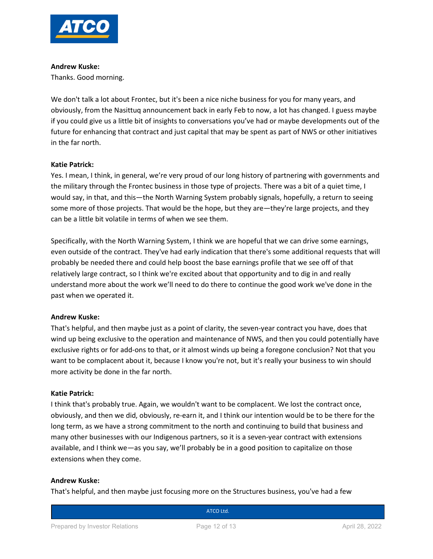

#### **Andrew Kuske:**

Thanks. Good morning.

We don't talk a lot about Frontec, but it's been a nice niche business for you for many years, and obviously, from the Nasittuq announcement back in early Feb to now, a lot has changed. I guess maybe if you could give us a little bit of insights to conversations you've had or maybe developments out of the future for enhancing that contract and just capital that may be spent as part of NWS or other initiatives in the far north.

# **Katie Patrick:**

Yes. I mean, I think, in general, we're very proud of our long history of partnering with governments and the military through the Frontec business in those type of projects. There was a bit of a quiet time, I would say, in that, and this—the North Warning System probably signals, hopefully, a return to seeing some more of those projects. That would be the hope, but they are—they're large projects, and they can be a little bit volatile in terms of when we see them.

Specifically, with the North Warning System, I think we are hopeful that we can drive some earnings, even outside of the contract. They've had early indication that there's some additional requests that will probably be needed there and could help boost the base earnings profile that we see off of that relatively large contract, so I think we're excited about that opportunity and to dig in and really understand more about the work we'll need to do there to continue the good work we've done in the past when we operated it.

# **Andrew Kuske:**

That's helpful, and then maybe just as a point of clarity, the seven-year contract you have, does that wind up being exclusive to the operation and maintenance of NWS, and then you could potentially have exclusive rights or for add-ons to that, or it almost winds up being a foregone conclusion? Not that you want to be complacent about it, because I know you're not, but it's really your business to win should more activity be done in the far north.

# **Katie Patrick:**

I think that's probably true. Again, we wouldn't want to be complacent. We lost the contract once, obviously, and then we did, obviously, re-earn it, and I think our intention would be to be there for the long term, as we have a strong commitment to the north and continuing to build that business and many other businesses with our Indigenous partners, so it is a seven-year contract with extensions available, and I think we—as you say, we'll probably be in a good position to capitalize on those extensions when they come.

# **Andrew Kuske:**

That's helpful, and then maybe just focusing more on the Structures business, you've had a few